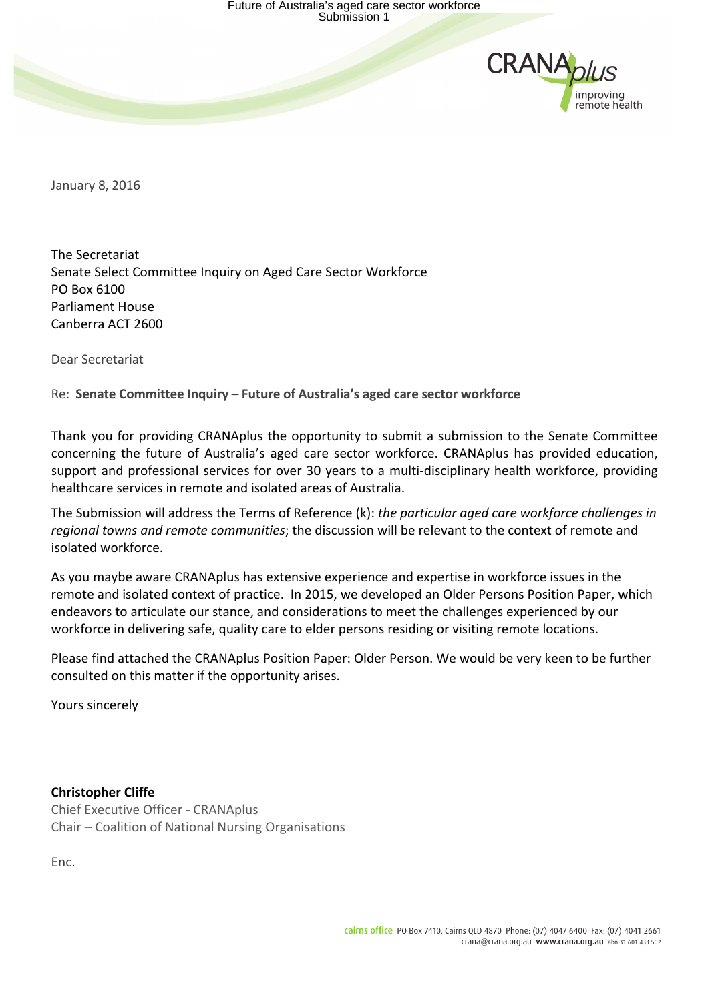

January 8, 2016

The Secretariat Senate Select Committee Inquiry on Aged Care Sector Workforce PO Box 6100 Parliament House Canberra ACT 2600

Dear Secretariat

Re: Senate Committee Inquiry – Future of Australia's aged care sector workforce

Thank you for providing CRANAplus the opportunity to submit a submission to the Senate Committee concerning the future of Australia's aged care sector workforce. CRANAplus has provided education, support and professional services for over 30 years to a multi-disciplinary health workforce, providing healthcare services in remote and isolated areas of Australia.

The Submission will address the Terms of Reference (k): *the particular aged care workforce challenges in* regional towns and remote communities; the discussion will be relevant to the context of remote and isolated workforce.

As you maybe aware CRANAplus has extensive experience and expertise in workforce issues in the remote and isolated context of practice. In 2015, we developed an Older Persons Position Paper, which endeavors to articulate our stance, and considerations to meet the challenges experienced by our workforce in delivering safe, quality care to elder persons residing or visiting remote locations.

Please find attached the CRANAplus Position Paper: Older Person. We would be very keen to be further consulted on this matter if the opportunity arises.

Yours sincerely

**Christopher Cliffe**

Chief Executive Officer - CRANAplus Chair – Coalition of National Nursing Organisations

Enc.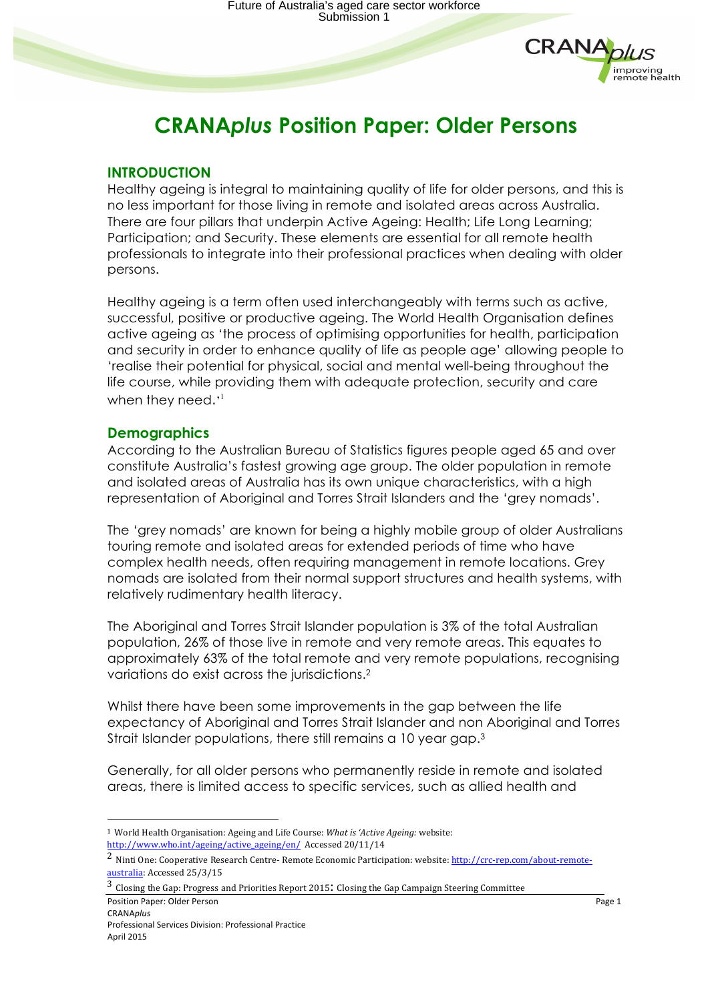

# **CRANA***plus* **Position Paper: Older Persons**

## **INTRODUCTION**

Healthy ageing is integral to maintaining quality of life for older persons, and this is no less important for those living in remote and isolated areas across Australia. There are four pillars that underpin Active Ageing: Health; Life Long Learning; Participation; and Security. These elements are essential for all remote health professionals to integrate into their professional practices when dealing with older persons.

Healthy ageing is a term often used interchangeably with terms such as active, successful, positive or productive ageing. The World Health Organisation defines active ageing as 'the process of optimising opportunities for health, participation and security in order to enhance quality of life as people age' allowing people to 'realise their potential for physical, social and mental well-being throughout the life course, while providing them with adequate protection, security and care when they need.'<sup>1</sup>

## **Demographics**

According to the Australian Bureau of Statistics figures people aged 65 and over constitute Australia's fastest growing age group. The older population in remote and isolated areas of Australia has its own unique characteristics, with a high representation of Aboriginal and Torres Strait Islanders and the 'grey nomads'.

The 'grey nomads' are known for being a highly mobile group of older Australians touring remote and isolated areas for extended periods of time who have complex health needs, often requiring management in remote locations. Grey nomads are isolated from their normal support structures and health systems, with relatively rudimentary health literacy.

The Aboriginal and Torres Strait Islander population is 3% of the total Australian population, 26% of those live in remote and very remote areas. This equates to approximately 63% of the total remote and very remote populations, recognising variations do exist across the jurisdictions. 2

Whilst there have been some improvements in the gap between the life expectancy of Aboriginal and Torres Strait Islander and non Aboriginal and Torres Strait Islander populations, there still remains a 10 year gap.<sup>3</sup>

Generally, for all older persons who permanently reside in remote and isolated areas, there is limited access to specific services, such as allied health and

 

<sup>&</sup>lt;sup>1</sup> World Health Organisation: Ageing and Life Course: *What is 'Active Ageing:* website: http://www.who.int/ageing/active\_ageing/en/ Accessed 20/11/14

<sup>&</sup>lt;sup>2</sup> Ninti One: Cooperative Research Centre- Remote Economic Participation: website: http://crc-rep.com/about-remoteaustralia: Accessed 25/3/15

**Position Paper:** Older Person **Contract Contract Contract Contract Contract Contract Contract Contract Contract Contract Contract Contract Contract Contract Contract Contract Contract Contract Contract Contract Contract C** CRANA*plus*  $3$  Closing the Gap: Progress and Priorities Report 2015: Closing the Gap Campaign Steering Committee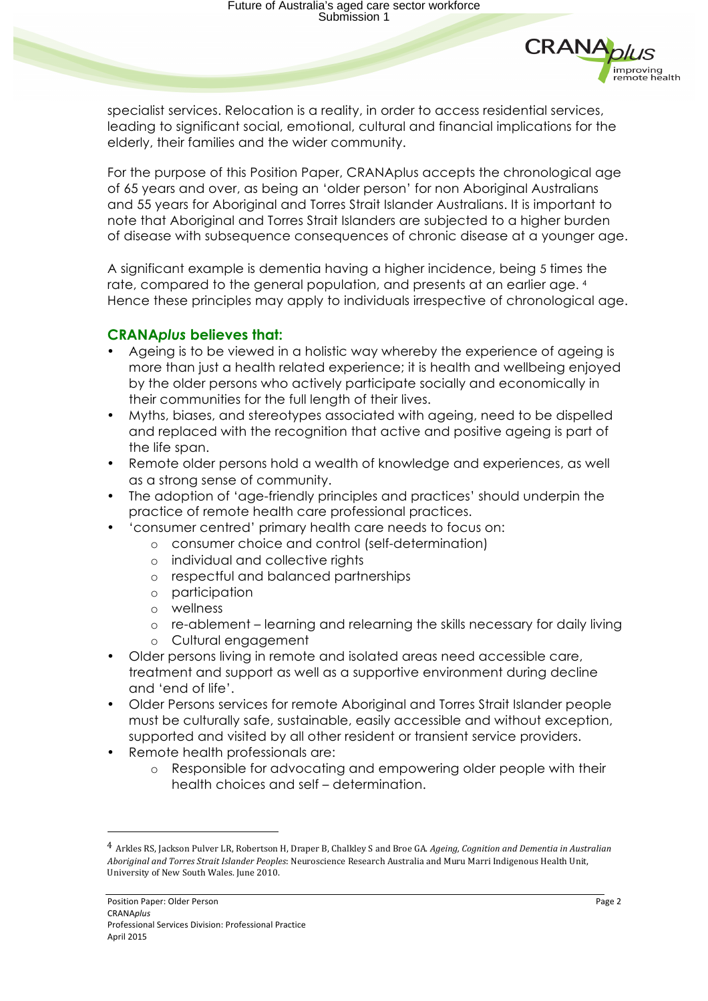

specialist services. Relocation is a reality, in order to access residential services, leading to significant social, emotional, cultural and financial implications for the elderly, their families and the wider community.

For the purpose of this Position Paper, CRANAplus accepts the chronological age of 65 years and over, as being an 'older person' for non Aboriginal Australians and 55 years for Aboriginal and Torres Strait Islander Australians. It is important to note that Aboriginal and Torres Strait Islanders are subjected to a higher burden of disease with subsequence consequences of chronic disease at a younger age.

A significant example is dementia having a higher incidence, being 5 times the rate, compared to the general population, and presents at an earlier age. 4 Hence these principles may apply to individuals irrespective of chronological age.

## **CRANA***plus* **believes that:**

- Ageing is to be viewed in a holistic way whereby the experience of ageing is more than just a health related experience; it is health and wellbeing enjoyed by the older persons who actively participate socially and economically in their communities for the full length of their lives.
- Myths, biases, and stereotypes associated with ageing, need to be dispelled and replaced with the recognition that active and positive ageing is part of the life span.
- Remote older persons hold a wealth of knowledge and experiences, as well as a strong sense of community.
- The adoption of 'age-friendly principles and practices' should underpin the practice of remote health care professional practices.
- 'consumer centred' primary health care needs to focus on:
	- o consumer choice and control (self-determination)
	- o individual and collective rights
	- o respectful and balanced partnerships
	- o participation
	- o wellness
	- o re-ablement learning and relearning the skills necessary for daily living
	- o Cultural engagement
- Older persons living in remote and isolated areas need accessible care, treatment and support as well as a supportive environment during decline and 'end of life'.
- Older Persons services for remote Aboriginal and Torres Strait Islander people must be culturally safe, sustainable, easily accessible and without exception, supported and visited by all other resident or transient service providers.
- Remote health professionals are:
	- o Responsible for advocating and empowering older people with their health choices and self – determination.

 

<sup>&</sup>lt;sup>4</sup> Arkles RS, Jackson Pulver LR, Robertson H, Draper B, Chalkley S and Broe GA. *Ageing, Cognition and Dementia in Australian* Aboriginal and Torres Strait Islander Peoples: Neuroscience Research Australia and Muru Marri Indigenous Health Unit, University of New South Wales. June 2010.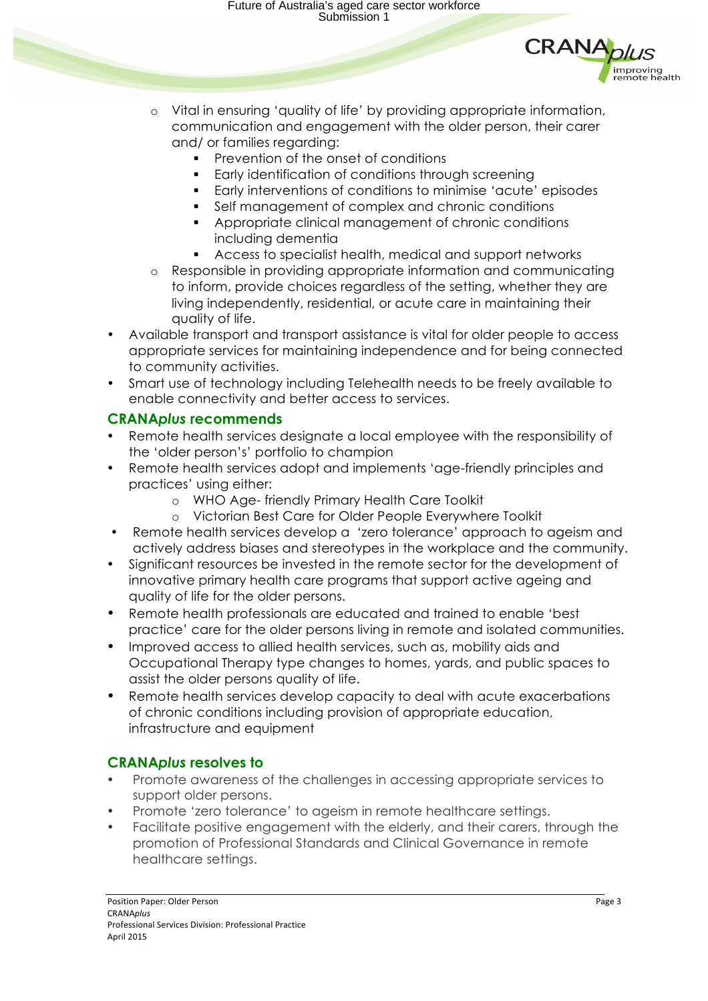Future of Australia's aged care sector workforce Submission 1



- o Vital in ensuring 'quality of life' by providing appropriate information, communication and engagement with the older person, their carer and/ or families regarding:
	- **•** Prevention of the onset of conditions
	- Early identification of conditions through screening
	- § Early interventions of conditions to minimise 'acute' episodes
	- Self management of complex and chronic conditions
	- § Appropriate clinical management of chronic conditions including dementia
	- Access to specialist health, medical and support networks
- o Responsible in providing appropriate information and communicating to inform, provide choices regardless of the setting, whether they are living independently, residential, or acute care in maintaining their quality of life.
- Available transport and transport assistance is vital for older people to access appropriate services for maintaining independence and for being connected to community activities.
- Smart use of technology including Telehealth needs to be freely available to enable connectivity and better access to services.

## **CRANA***plus* **recommends**

- Remote health services designate a local employee with the responsibility of the 'older person's' portfolio to champion
- Remote health services adopt and implements 'age-friendly principles and practices' using either:
	- o WHO Age- friendly Primary Health Care Toolkit
	- o Victorian Best Care for Older People Everywhere Toolkit
- Remote health services develop a 'zero tolerance' approach to ageism and actively address biases and stereotypes in the workplace and the community.
- Significant resources be invested in the remote sector for the development of innovative primary health care programs that support active ageing and quality of life for the older persons.
- Remote health professionals are educated and trained to enable 'best practice' care for the older persons living in remote and isolated communities.
- Improved access to allied health services, such as, mobility aids and Occupational Therapy type changes to homes, yards, and public spaces to assist the older persons quality of life.
- Remote health services develop capacity to deal with acute exacerbations of chronic conditions including provision of appropriate education, infrastructure and equipment

# **CRANA***plus* **resolves to**

- Promote awareness of the challenges in accessing appropriate services to support older persons.
- Promote 'zero tolerance' to ageism in remote healthcare settings.
- Facilitate positive engagement with the elderly, and their carers, through the promotion of Professional Standards and Clinical Governance in remote healthcare settings.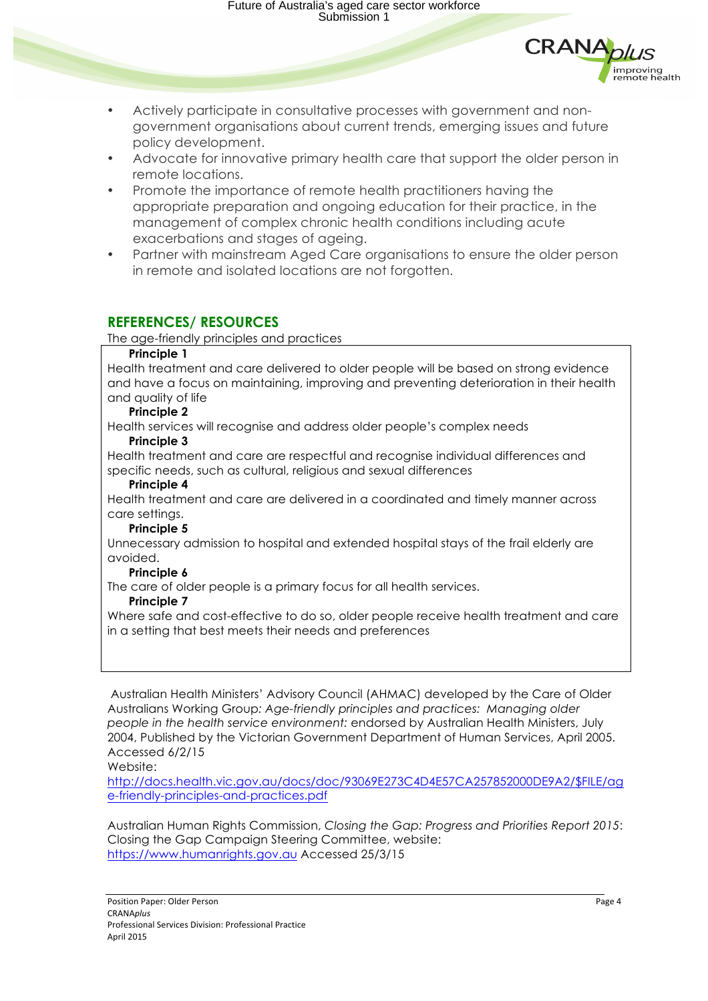Future of Australia's aged care sector workforce Submission 1



- Actively participate in consultative processes with government and nongovernment organisations about current trends, emerging issues and future policy development.
- Advocate for innovative primary health care that support the older person in remote locations.
- Promote the importance of remote health practitioners having the appropriate preparation and ongoing education for their practice, in the management of complex chronic health conditions including acute exacerbations and stages of ageing.
- Partner with mainstream Aged Care organisations to ensure the older person in remote and isolated locations are not forgotten.

## **REFERENCES/ RESOURCES**

The age-friendly principles and practices

#### **Principle 1**

Health treatment and care delivered to older people will be based on strong evidence and have a focus on maintaining, improving and preventing deterioration in their health and quality of life

### **Principle 2**

Health services will recognise and address older people's complex needs

#### **Principle 3**

Health treatment and care are respectful and recognise individual differences and specific needs, such as cultural, religious and sexual differences

#### **Principle 4**

Health treatment and care are delivered in a coordinated and timely manner across care settings.

#### **Principle 5**

Unnecessary admission to hospital and extended hospital stays of the frail elderly are avoided.

#### **Principle 6**

The care of older people is a primary focus for all health services.

#### **Principle 7**

Where safe and cost-effective to do so, older people receive health treatment and care in a setting that best meets their needs and preferences

Australian Health Ministers' Advisory Council (AHMAC) developed by the Care of Older Australians Working Group*: Age-friendly principles and practices: Managing older people in the health service environment:* endorsed by Australian Health Ministers, July 2004, Published by the Victorian Government Department of Human Services, April 2005. Accessed 6/2/15

Website:

http://docs.health.vic.gov.au/docs/doc/93069E273C4D4E57CA257852000DE9A2/\$FILE/ag e-friendly-principles-and-practices.pdf

Australian Human Rights Commission, *Closing the Gap: Progress and Priorities Report 2015*: Closing the Gap Campaign Steering Committee, website: https://www.humanrights.gov.au Accessed 25/3/15